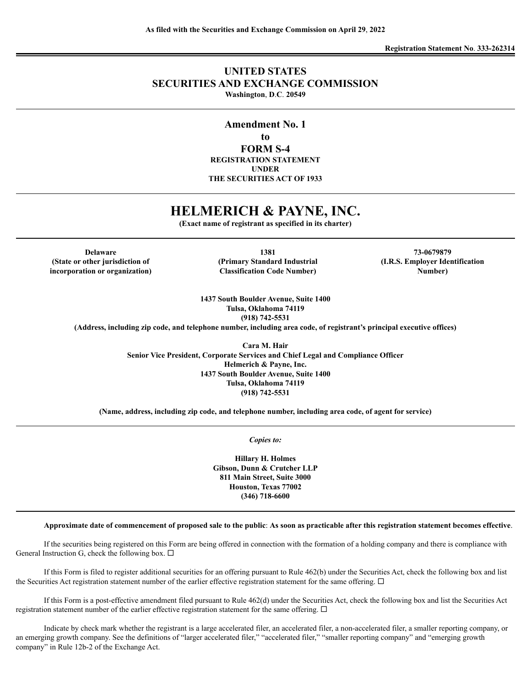## **UNITED STATES SECURITIES AND EXCHANGE COMMISSION Washington**, **D**.**C**. **20549**

**Amendment No. 1 to FORM S-4 REGISTRATION STATEMENT UNDER THE SECURITIES ACT OF 1933**

## **HELMERICH & PAYNE, INC.**

**(Exact name of registrant as specified in its charter)**

**Delaware (State or other jurisdiction of incorporation or organization)**

**1381 (Primary Standard Industrial Classification Code Number)**

**73-0679879 (I.R.S. Employer Identification Number)**

**1437 South Boulder Avenue, Suite 1400 Tulsa, Oklahoma 74119 (918) 742-5531**

**(Address, including zip code, and telephone number, including area code, of registrant's principal executive offices)**

**Cara M. Hair Senior Vice President, Corporate Services and Chief Legal and Compliance Officer Helmerich & Payne, Inc. 1437 South Boulder Avenue, Suite 1400 Tulsa, Oklahoma 74119 (918) 742-5531**

**(Name, address, including zip code, and telephone number, including area code, of agent for service)**

*Copies to:*

**Hillary H. Holmes Gibson, Dunn & Crutcher LLP 811 Main Street, Suite 3000 Houston, Texas 77002 (346) 718-6600**

#### Approximate date of commencement of proposed sale to the public: As soon as practicable after this registration statement becomes effective.

If the securities being registered on this Form are being offered in connection with the formation of a holding company and there is compliance with General Instruction G, check the following box.  $\Box$ 

If this Form is filed to register additional securities for an offering pursuant to Rule 462(b) under the Securities Act, check the following box and list the Securities Act registration statement number of the earlier effective registration statement for the same offering.  $\Box$ 

If this Form is a post-effective amendment filed pursuant to Rule 462(d) under the Securities Act, check the following box and list the Securities Act registration statement number of the earlier effective registration statement for the same offering.  $\Box$ 

Indicate by check mark whether the registrant is a large accelerated filer, an accelerated filer, a non-accelerated filer, a smaller reporting company, or an emerging growth company. See the definitions of "larger accelerated filer," "accelerated filer," "smaller reporting company" and "emerging growth company" in Rule 12b-2 of the Exchange Act.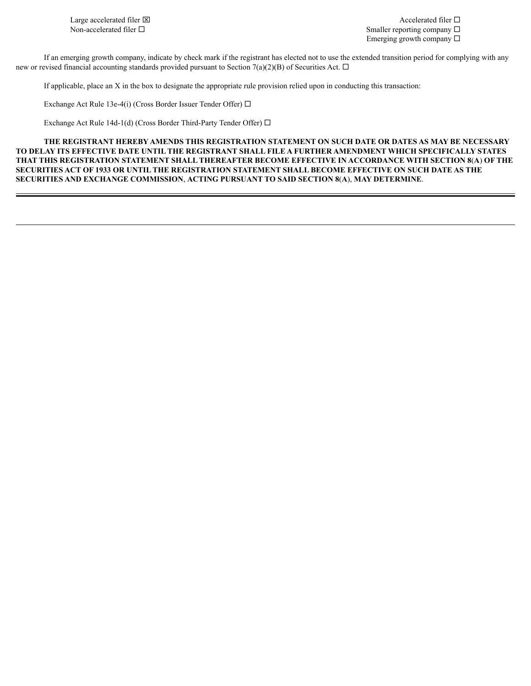Large accelerated filer  $\boxtimes$ Non-accelerated filer  $\Box$ 

Accelerated filer  $\Box$ Smaller reporting company  $\Box$ Emerging growth company  $\square$ 

If an emerging growth company, indicate by check mark if the registrant has elected not to use the extended transition period for complying with any new or revised financial accounting standards provided pursuant to Section 7(a)(2)(B) of Securities Act.  $\Box$ 

If applicable, place an X in the box to designate the appropriate rule provision relied upon in conducting this transaction:

Exchange Act Rule 13e-4(i) (Cross Border Issuer Tender Offer)  $\Box$ 

Exchange Act Rule 14d-1(d) (Cross Border Third-Party Tender Offer)  $\Box$ 

**THE REGISTRANT HEREBY AMENDS THIS REGISTRATION STATEMENT ON SUCH DATE OR DATES AS MAY BE NECESSARY TO DELAY ITS EFFECTIVE DATE UNTIL THE REGISTRANT SHALL FILE A FURTHER AMENDMENT WHICH SPECIFICALLY STATES THAT THIS REGISTRATION STATEMENT SHALL THEREAFTER BECOME EFFECTIVE IN ACCORDANCE WITH SECTION 8**(**A**) **OF THE SECURITIES ACT OF 1933 OR UNTIL THE REGISTRATION STATEMENT SHALL BECOME EFFECTIVE ON SUCH DATE AS THE SECURITIES AND EXCHANGE COMMISSION**, **ACTING PURSUANT TO SAID SECTION 8**(**A**), **MAY DETERMINE**.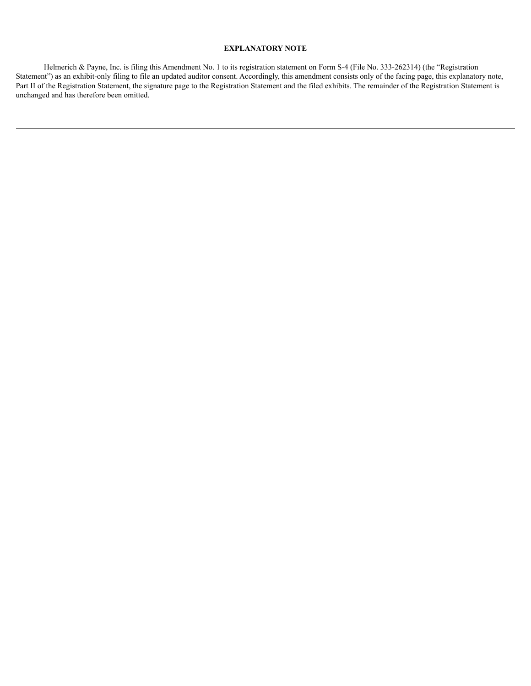### **EXPLANATORY NOTE**

Helmerich & Payne, Inc. is filing this Amendment No. 1 to its registration statement on Form S-4 (File No. 333-262314) (the "Registration Statement") as an exhibit-only filing to file an updated auditor consent. Accordingly, this amendment consists only of the facing page, this explanatory note, Part II of the Registration Statement, the signature page to the Registration Statement and the filed exhibits. The remainder of the Registration Statement is unchanged and has therefore been omitted.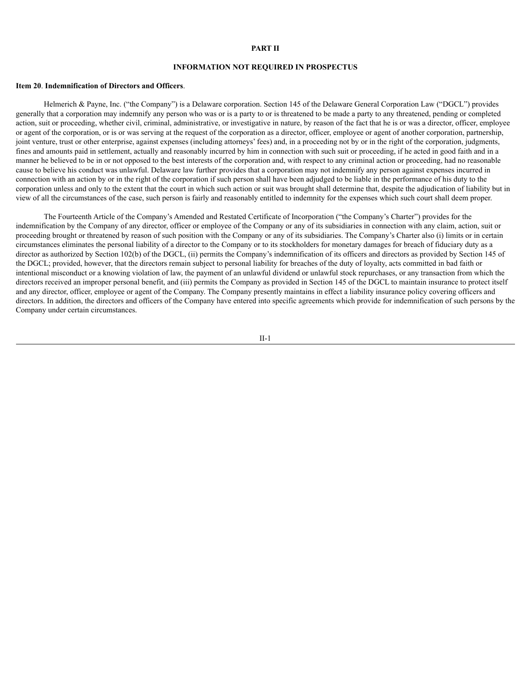#### **PART II**

#### **INFORMATION NOT REQUIRED IN PROSPECTUS**

#### **Item 20**. **Indemnification of Directors and Officers**.

Helmerich & Payne, Inc. ("the Company") is a Delaware corporation. Section 145 of the Delaware General Corporation Law ("DGCL") provides generally that a corporation may indemnify any person who was or is a party to or is threatened to be made a party to any threatened, pending or completed action, suit or proceeding, whether civil, criminal, administrative, or investigative in nature, by reason of the fact that he is or was a director, officer, employee or agent of the corporation, or is or was serving at the request of the corporation as a director, officer, employee or agent of another corporation, partnership, joint venture, trust or other enterprise, against expenses (including attorneys' fees) and, in a proceeding not by or in the right of the corporation, judgments, fines and amounts paid in settlement, actually and reasonably incurred by him in connection with such suit or proceeding, if he acted in good faith and in a manner he believed to be in or not opposed to the best interests of the corporation and, with respect to any criminal action or proceeding, had no reasonable cause to believe his conduct was unlawful. Delaware law further provides that a corporation may not indemnify any person against expenses incurred in connection with an action by or in the right of the corporation if such person shall have been adjudged to be liable in the performance of his duty to the corporation unless and only to the extent that the court in which such action or suit was brought shall determine that, despite the adjudication of liability but in view of all the circumstances of the case, such person is fairly and reasonably entitled to indemnity for the expenses which such court shall deem proper.

The Fourteenth Article of the Company's Amended and Restated Certificate of Incorporation ("the Company's Charter") provides for the indemnification by the Company of any director, officer or employee of the Company or any of its subsidiaries in connection with any claim, action, suit or proceeding brought or threatened by reason of such position with the Company or any of its subsidiaries. The Company's Charter also (i) limits or in certain circumstances eliminates the personal liability of a director to the Company or to its stockholders for monetary damages for breach of fiduciary duty as a director as authorized by Section 102(b) of the DGCL, (ii) permits the Company's indemnification of its officers and directors as provided by Section 145 of the DGCL; provided, however, that the directors remain subject to personal liability for breaches of the duty of loyalty, acts committed in bad faith or intentional misconduct or a knowing violation of law, the payment of an unlawful dividend or unlawful stock repurchases, or any transaction from which the directors received an improper personal benefit, and (iii) permits the Company as provided in Section 145 of the DGCL to maintain insurance to protect itself and any director, officer, employee or agent of the Company. The Company presently maintains in effect a liability insurance policy covering officers and directors. In addition, the directors and officers of the Company have entered into specific agreements which provide for indemnification of such persons by the Company under certain circumstances.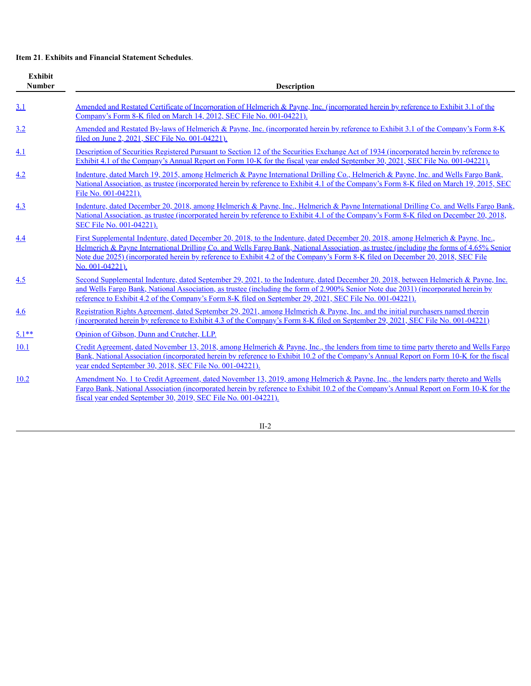## **Item 21**. **Exhibits and Financial Statement Schedules**.

| Exhibit<br><b>Number</b> | Description                                                                                                                                                                                                                                                                                                                                                                                                                       |
|--------------------------|-----------------------------------------------------------------------------------------------------------------------------------------------------------------------------------------------------------------------------------------------------------------------------------------------------------------------------------------------------------------------------------------------------------------------------------|
| 3.1                      | <u>Amended and Restated Certificate of Incorporation of Helmerich &amp; Payne, Inc. (incorporated herein by reference to Exhibit 3.1 of the</u><br>Company's Form 8-K filed on March 14, 2012, SEC File No. 001-04221).                                                                                                                                                                                                           |
| 3.2                      | Amended and Restated By-laws of Helmerich & Payne, Inc. (incorporated herein by reference to Exhibit 3.1 of the Company's Form 8-K<br>filed on June 2, 2021, SEC File No. 001-04221).                                                                                                                                                                                                                                             |
| 4.1                      | Description of Securities Registered Pursuant to Section 12 of the Securities Exchange Act of 1934 (incorporated herein by reference to<br>Exhibit 4.1 of the Company's Annual Report on Form 10-K for the fiscal year ended September 30, 2021, SEC File No. 001-04221).                                                                                                                                                         |
| 4.2                      | Indenture, dated March 19, 2015, among Helmerich & Payne International Drilling Co., Helmerich & Payne, Inc. and Wells Fargo Bank,<br>National Association, as trustee (incorporated herein by reference to Exhibit 4.1 of the Company's Form 8-K filed on March 19, 2015, SEC<br>File No. 001-04221).                                                                                                                            |
| 4.3                      | Indenture, dated December 20, 2018, among Helmerich & Payne, Inc., Helmerich & Payne International Drilling Co. and Wells Fargo Bank.<br>National Association, as trustee (incorporated herein by reference to Exhibit 4.1 of the Company's Form 8-K filed on December 20, 2018,<br>SEC File No. 001-04221).                                                                                                                      |
| 4.4                      | First Supplemental Indenture, dated December 20, 2018, to the Indenture, dated December 20, 2018, among Helmerich & Payne, Inc.,<br>Helmerich & Payne International Drilling Co. and Wells Fargo Bank, National Association, as trustee (including the forms of 4.65% Senior<br>Note due 2025) (incorporated herein by reference to Exhibit 4.2 of the Company's Form 8-K filed on December 20, 2018, SEC File<br>No. 001-04221). |
| 4.5                      | Second Supplemental Indenture, dated September 29, 2021, to the Indenture, dated December 20, 2018, between Helmerich & Payne, Inc.<br>and Wells Fargo Bank, National Association, as trustee (including the form of 2.900% Senior Note due 2031) (incorporated herein by<br>reference to Exhibit 4.2 of the Company's Form 8-K filed on September 29, 2021, SEC File No. 001-04221).                                             |
| 4.6                      | Registration Rights Agreement, dated September 29, 2021, among Helmerich & Payne, Inc. and the initial purchasers named therein<br>(incorporated herein by reference to Exhibit 4.3 of the Company's Form 8-K filed on September 29, 2021, SEC File No. 001-04221)                                                                                                                                                                |
| $5.1**$                  | Opinion of Gibson, Dunn and Crutcher, LLP.                                                                                                                                                                                                                                                                                                                                                                                        |
| 10.1                     | Credit Agreement, dated November 13, 2018, among Helmerich & Payne, Inc., the lenders from time to time party thereto and Wells Fargo<br>Bank, National Association (incorporated herein by reference to Exhibit 10.2 of the Company's Annual Report on Form 10-K for the fiscal<br>year ended September 30, 2018, SEC File No. 001-04221).                                                                                       |
| 10.2                     | Amendment No. 1 to Credit Agreement, dated November 13, 2019, among Helmerich & Payne, Inc., the lenders party thereto and Wells<br>Fargo Bank, National Association (incorporated herein by reference to Exhibit 10.2 of the Company's Annual Report on Form 10-K for the<br>fiscal year ended September 30, 2019, SEC File No. 001-04221).                                                                                      |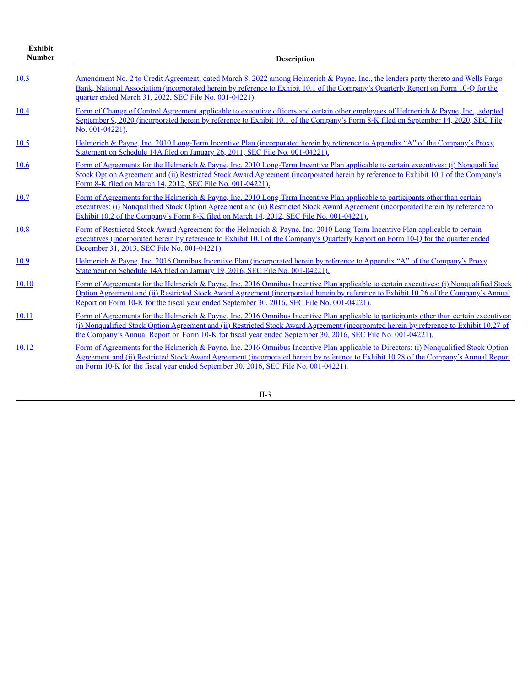| <b>Exhibit</b><br><b>Number</b> | <b>Description</b>                                                                                                                                                                                                                                                                                                                                                                                 |
|---------------------------------|----------------------------------------------------------------------------------------------------------------------------------------------------------------------------------------------------------------------------------------------------------------------------------------------------------------------------------------------------------------------------------------------------|
| 10.3                            | Amendment No. 2 to Credit Agreement, dated March 8, 2022 among Helmerich & Payne, Inc., the lenders party thereto and Wells Fargo<br>Bank, National Association (incorporated herein by reference to Exhibit 10.1 of the Company's Quarterly Report on Form 10-Q for the<br>quarter ended March 31, 2022, SEC File No. 001-04221).                                                                 |
| 10.4                            | Form of Change of Control Agreement applicable to executive officers and certain other employees of Helmerich & Payne, Inc., adopted<br>September 9, 2020 (incorporated herein by reference to Exhibit 10.1 of the Company's Form 8-K filed on September 14, 2020, SEC File<br>No. 001-04221).                                                                                                     |
| 10.5                            | Helmerich & Payne, Inc. 2010 Long-Term Incentive Plan (incorporated herein by reference to Appendix "A" of the Company's Proxy<br>Statement on Schedule 14A filed on January 26, 2011, SEC File No. 001-04221).                                                                                                                                                                                    |
| 10.6                            | Form of Agreements for the Helmerich & Payne, Inc. 2010 Long-Term Incentive Plan applicable to certain executives: (i) Nonqualified<br>Stock Option Agreement and (ii) Restricted Stock Award Agreement (incorporated herein by reference to Exhibit 10.1 of the Company's<br>Form 8-K filed on March 14, 2012, SEC File No. 001-04221).                                                           |
| 10.7                            | Form of Agreements for the Helmerich & Payne, Inc. 2010 Long-Term Incentive Plan applicable to participants other than certain<br>executives: (i) Nonqualified Stock Option Agreement and (ii) Restricted Stock Award Agreement (incorporated herein by reference to<br>Exhibit 10.2 of the Company's Form 8-K filed on March 14, 2012, SEC File No. 001-04221).                                   |
| 10.8                            | Form of Restricted Stock Award Agreement for the Helmerich & Payne, Inc. 2010 Long-Term Incentive Plan applicable to certain<br>executives (incorporated herein by reference to Exhibit 10.1 of the Company's Quarterly Report on Form 10-Q for the quarter ended<br>December 31, 2013, SEC File No. 001-04221).                                                                                   |
| 10.9                            | Helmerich & Payne, Inc. 2016 Omnibus Incentive Plan (incorporated herein by reference to Appendix "A" of the Company's Proxy<br>Statement on Schedule 14A filed on January 19, 2016, SEC File No. 001-04221).                                                                                                                                                                                      |
| 10.10                           | Form of Agreements for the Helmerich & Payne, Inc. 2016 Omnibus Incentive Plan applicable to certain executives: (i) Nonqualified Stock<br>Option Agreement and (ii) Restricted Stock Award Agreement (incorporated herein by reference to Exhibit 10.26 of the Company's Annual<br>Report on Form 10-K for the fiscal year ended September 30, 2016, SEC File No. 001-04221).                     |
| 10.11                           | Form of Agreements for the Helmerich & Payne, Inc. 2016 Omnibus Incentive Plan applicable to participants other than certain executives:<br>(i) Nonqualified Stock Option Agreement and (ii) Restricted Stock Award Agreement (incorporated herein by reference to Exhibit 10.27 of<br>the Company's Annual Report on Form 10-K for fiscal year ended September 30, 2016, SEC File No. 001-04221). |
| 10.12                           | Form of Agreements for the Helmerich & Payne, Inc. 2016 Omnibus Incentive Plan applicable to Directors: (i) Nonqualified Stock Option<br>Agreement and (ii) Restricted Stock Award Agreement (incorporated herein by reference to Exhibit 10.28 of the Company's Annual Report<br>on Form 10-K for the fiscal year ended September 30, 2016, SEC File No. 001-04221).                              |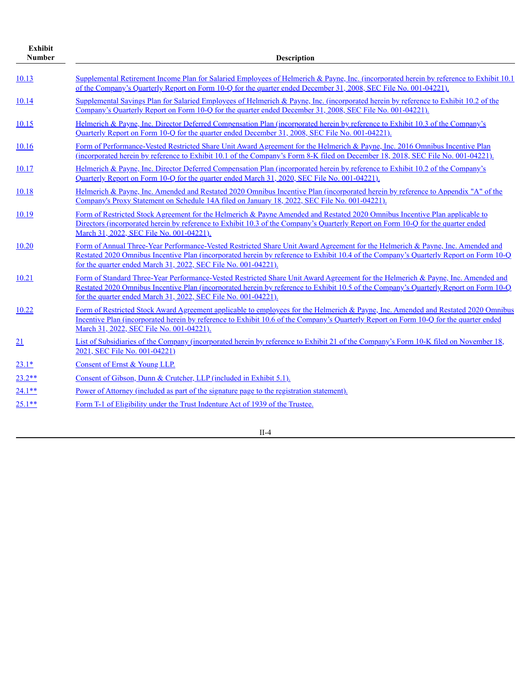| <b>Exhibit</b><br><b>Number</b> | <b>Description</b>                                                                                                                                                                                                                                                                                                                          |  |  |  |  |  |  |  |  |
|---------------------------------|---------------------------------------------------------------------------------------------------------------------------------------------------------------------------------------------------------------------------------------------------------------------------------------------------------------------------------------------|--|--|--|--|--|--|--|--|
| 10.13                           | Supplemental Retirement Income Plan for Salaried Employees of Helmerich & Payne, Inc. (incorporated herein by reference to Exhibit 10.1)<br>of the Company's Quarterly Report on Form 10-Q for the quarter ended December 31, 2008, SEC File No. 001-04221).                                                                                |  |  |  |  |  |  |  |  |
| 10.14                           | Supplemental Savings Plan for Salaried Employees of Helmerich & Payne, Inc. (incorporated herein by reference to Exhibit 10.2 of the<br>Company's Quarterly Report on Form 10-Q for the quarter ended December 31, 2008, SEC File No. 001-04221).                                                                                           |  |  |  |  |  |  |  |  |
| 10.15                           | Helmerich & Payne, Inc. Director Deferred Compensation Plan (incorporated herein by reference to Exhibit 10.3 of the Company's<br>Quarterly Report on Form 10-Q for the quarter ended December 31, 2008, SEC File No. 001-04221).                                                                                                           |  |  |  |  |  |  |  |  |
| 10.16                           | Form of Performance-Vested Restricted Share Unit Award Agreement for the Helmerich & Payne, Inc. 2016 Omnibus Incentive Plan<br>(incorporated herein by reference to Exhibit 10.1 of the Company's Form 8-K filed on December 18, 2018, SEC File No. 001-04221).                                                                            |  |  |  |  |  |  |  |  |
| 10.17                           | Helmerich & Payne, Inc. Director Deferred Compensation Plan (incorporated herein by reference to Exhibit 10.2 of the Company's<br>Quarterly Report on Form 10-Q for the quarter ended March 31, 2020, SEC File No. 001-04221).                                                                                                              |  |  |  |  |  |  |  |  |
| 10.18                           | Helmerich & Payne, Inc. Amended and Restated 2020 Omnibus Incentive Plan (incorporated herein by reference to Appendix "A" of the<br>Company's Proxy Statement on Schedule 14A filed on January 18, 2022, SEC File No. 001-04221).                                                                                                          |  |  |  |  |  |  |  |  |
| 10.19                           | Form of Restricted Stock Agreement for the Helmerich & Payne Amended and Restated 2020 Omnibus Incentive Plan applicable to<br>Directors (incorporated herein by reference to Exhibit 10.3 of the Company's Quarterly Report on Form 10-Q for the quarter ended<br>March 31, 2022, SEC File No. 001-04221).                                 |  |  |  |  |  |  |  |  |
| 10.20                           | Form of Annual Three-Year Performance-Vested Restricted Share Unit Award Agreement for the Helmerich & Payne, Inc. Amended and<br>Restated 2020 Omnibus Incentive Plan (incorporated herein by reference to Exhibit 10.4 of the Company's Quarterly Report on Form 10-Q<br>for the quarter ended March 31, 2022, SEC File No. 001-04221).   |  |  |  |  |  |  |  |  |
| 10.21                           | Form of Standard Three-Year Performance-Vested Restricted Share Unit Award Agreement for the Helmerich & Payne, Inc. Amended and<br>Restated 2020 Omnibus Incentive Plan (incorporated herein by reference to Exhibit 10.5 of the Company's Quarterly Report on Form 10-Q<br>for the quarter ended March 31, 2022, SEC File No. 001-04221). |  |  |  |  |  |  |  |  |
| 10.22                           | Form of Restricted Stock Award Agreement applicable to employees for the Helmerich & Payne, Inc. Amended and Restated 2020 Omnibus<br>Incentive Plan (incorporated herein by reference to Exhibit 10.6 of the Company's Quarterly Report on Form 10-Q for the quarter ended<br>March 31, 2022, SEC File No. 001-04221).                     |  |  |  |  |  |  |  |  |
| 21                              | List of Subsidiaries of the Company (incorporated herein by reference to Exhibit 21 of the Company's Form 10-K filed on November 18,<br>2021, SEC File No. 001-04221)                                                                                                                                                                       |  |  |  |  |  |  |  |  |
| $23.1*$                         | Consent of Ernst & Young LLP.                                                                                                                                                                                                                                                                                                               |  |  |  |  |  |  |  |  |
| $23.2**$                        | Consent of Gibson, Dunn & Crutcher, LLP (included in Exhibit 5.1).                                                                                                                                                                                                                                                                          |  |  |  |  |  |  |  |  |
| $24.1**$                        | Power of Attorney (included as part of the signature page to the registration statement).                                                                                                                                                                                                                                                   |  |  |  |  |  |  |  |  |
| $25.1**$                        | Form T-1 of Eligibility under the Trust Indenture Act of 1939 of the Trustee.                                                                                                                                                                                                                                                               |  |  |  |  |  |  |  |  |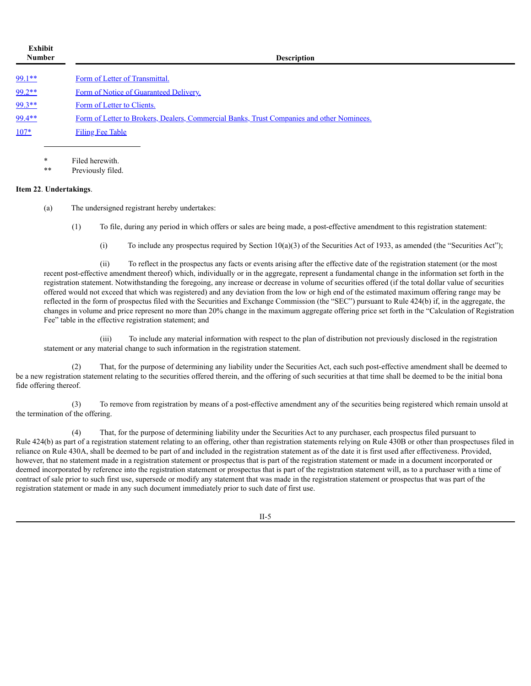| Exhibit<br><b>Number</b> | <b>Description</b>                                                                        |  |  |  |  |  |  |  |  |
|--------------------------|-------------------------------------------------------------------------------------------|--|--|--|--|--|--|--|--|
| $99.1**$                 | Form of Letter of Transmittal.                                                            |  |  |  |  |  |  |  |  |
| $99.2**$                 | Form of Notice of Guaranteed Delivery.                                                    |  |  |  |  |  |  |  |  |
| $99.3**$                 | Form of Letter to Clients.                                                                |  |  |  |  |  |  |  |  |
| 99.4**                   | Form of Letter to Brokers, Dealers, Commercial Banks, Trust Companies and other Nominees. |  |  |  |  |  |  |  |  |
| $107*$                   | Filing Fee Table                                                                          |  |  |  |  |  |  |  |  |
|                          |                                                                                           |  |  |  |  |  |  |  |  |

Filed herewith

Previously filed.

#### **Item 22**. **Undertakings**.

(a) The undersigned registrant hereby undertakes:

- (1) To file, during any period in which offers or sales are being made, a post-effective amendment to this registration statement:
	- (i) To include any prospectus required by Section  $10(a)(3)$  of the Securities Act of 1933, as amended (the "Securities Act");

(ii) To reflect in the prospectus any facts or events arising after the effective date of the registration statement (or the most recent post-effective amendment thereof) which, individually or in the aggregate, represent a fundamental change in the information set forth in the registration statement. Notwithstanding the foregoing, any increase or decrease in volume of securities offered (if the total dollar value of securities offered would not exceed that which was registered) and any deviation from the low or high end of the estimated maximum offering range may be reflected in the form of prospectus filed with the Securities and Exchange Commission (the "SEC") pursuant to Rule 424(b) if, in the aggregate, the changes in volume and price represent no more than 20% change in the maximum aggregate offering price set forth in the "Calculation of Registration Fee" table in the effective registration statement; and

(iii) To include any material information with respect to the plan of distribution not previously disclosed in the registration statement or any material change to such information in the registration statement.

(2) That, for the purpose of determining any liability under the Securities Act, each such post-effective amendment shall be deemed to be a new registration statement relating to the securities offered therein, and the offering of such securities at that time shall be deemed to be the initial bona fide offering thereof.

(3) To remove from registration by means of a post-effective amendment any of the securities being registered which remain unsold at the termination of the offering.

(4) That, for the purpose of determining liability under the Securities Act to any purchaser, each prospectus filed pursuant to Rule 424(b) as part of a registration statement relating to an offering, other than registration statements relying on Rule 430B or other than prospectuses filed in reliance on Rule 430A, shall be deemed to be part of and included in the registration statement as of the date it is first used after effectiveness. Provided, however, that no statement made in a registration statement or prospectus that is part of the registration statement or made in a document incorporated or deemed incorporated by reference into the registration statement or prospectus that is part of the registration statement will, as to a purchaser with a time of contract of sale prior to such first use, supersede or modify any statement that was made in the registration statement or prospectus that was part of the registration statement or made in any such document immediately prior to such date of first use.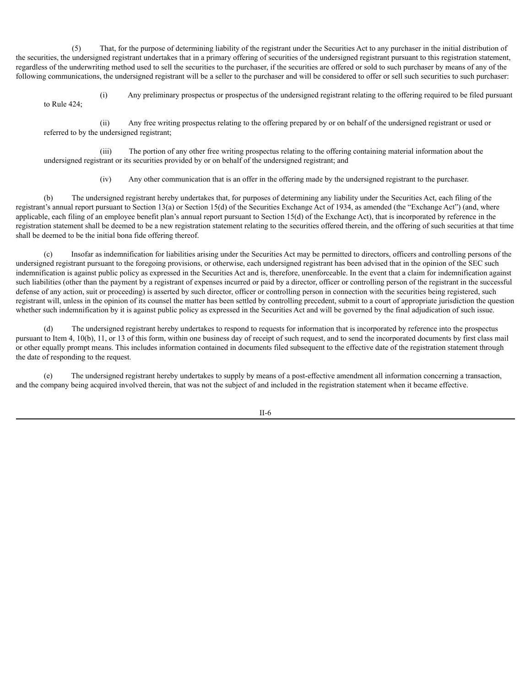(5) That, for the purpose of determining liability of the registrant under the Securities Act to any purchaser in the initial distribution of the securities, the undersigned registrant undertakes that in a primary offering of securities of the undersigned registrant pursuant to this registration statement, regardless of the underwriting method used to sell the securities to the purchaser, if the securities are offered or sold to such purchaser by means of any of the following communications, the undersigned registrant will be a seller to the purchaser and will be considered to offer or sell such securities to such purchaser:

(i) Any preliminary prospectus or prospectus of the undersigned registrant relating to the offering required to be filed pursuant to Rule 424;

(ii) Any free writing prospectus relating to the offering prepared by or on behalf of the undersigned registrant or used or referred to by the undersigned registrant;

(iii) The portion of any other free writing prospectus relating to the offering containing material information about the undersigned registrant or its securities provided by or on behalf of the undersigned registrant; and

(iv) Any other communication that is an offer in the offering made by the undersigned registrant to the purchaser.

(b) The undersigned registrant hereby undertakes that, for purposes of determining any liability under the Securities Act, each filing of the registrant's annual report pursuant to Section 13(a) or Section 15(d) of the Securities Exchange Act of 1934, as amended (the "Exchange Act") (and, where applicable, each filing of an employee benefit plan's annual report pursuant to Section  $15(d)$  of the Exchange Act), that is incorporated by reference in the registration statement shall be deemed to be a new registration statement relating to the securities offered therein, and the offering of such securities at that time shall be deemed to be the initial bona fide offering thereof.

Insofar as indemnification for liabilities arising under the Securities Act may be permitted to directors, officers and controlling persons of the undersigned registrant pursuant to the foregoing provisions, or otherwise, each undersigned registrant has been advised that in the opinion of the SEC such indemnification is against public policy as expressed in the Securities Act and is, therefore, unenforceable. In the event that a claim for indemnification against such liabilities (other than the payment by a registrant of expenses incurred or paid by a director, officer or controlling person of the registrant in the successful defense of any action, suit or proceeding) is asserted by such director, officer or controlling person in connection with the securities being registered, such registrant will, unless in the opinion of its counsel the matter has been settled by controlling precedent, submit to a court of appropriate jurisdiction the question whether such indemnification by it is against public policy as expressed in the Securities Act and will be governed by the final adjudication of such issue.

(d) The undersigned registrant hereby undertakes to respond to requests for information that is incorporated by reference into the prospectus pursuant to Item 4, 10(b), 11, or 13 of this form, within one business day of receipt of such request, and to send the incorporated documents by first class mail or other equally prompt means. This includes information contained in documents filed subsequent to the effective date of the registration statement through the date of responding to the request.

(e) The undersigned registrant hereby undertakes to supply by means of a post-effective amendment all information concerning a transaction, and the company being acquired involved therein, that was not the subject of and included in the registration statement when it became effective.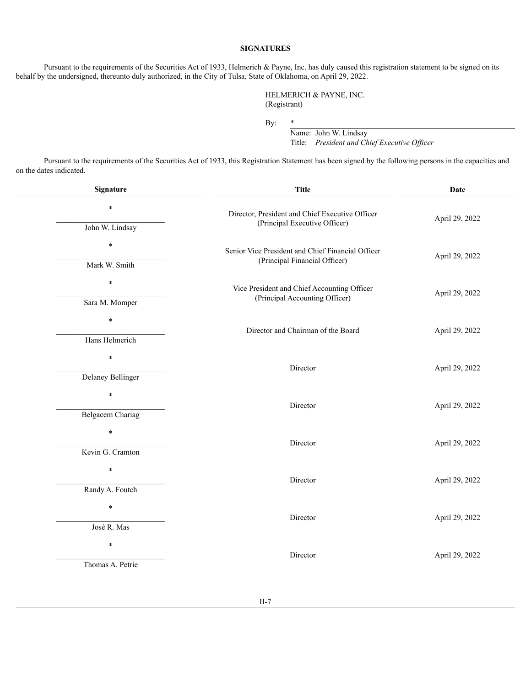### **SIGNATURES**

Pursuant to the requirements of the Securities Act of 1933, Helmerich & Payne, Inc. has duly caused this registration statement to be signed on its behalf by the undersigned, thereunto duly authorized, in the City of Tulsa, State of Oklahoma, on April 29, 2022.

> HELMERICH & PAYNE, INC. (Registrant)

By: \*

Name: John W. Lindsay Title: *President and Chief Executive Of icer*

Pursuant to the requirements of the Securities Act of 1933, this Registration Statement has been signed by the following persons in the capacities and on the dates indicated.

| Signature                | <b>Title</b>                                                                     | Date           |  |  |  |
|--------------------------|----------------------------------------------------------------------------------|----------------|--|--|--|
| $\ast$                   | Director, President and Chief Executive Officer<br>(Principal Executive Officer) | April 29, 2022 |  |  |  |
| John W. Lindsay          |                                                                                  |                |  |  |  |
| $\ast$                   | Senior Vice President and Chief Financial Officer                                | April 29, 2022 |  |  |  |
| Mark W. Smith            | (Principal Financial Officer)                                                    |                |  |  |  |
| $\ast$                   | Vice President and Chief Accounting Officer                                      | April 29, 2022 |  |  |  |
| Sara M. Momper           | (Principal Accounting Officer)                                                   |                |  |  |  |
| $\ast$                   | Director and Chairman of the Board                                               | April 29, 2022 |  |  |  |
| Hans Helmerich           |                                                                                  |                |  |  |  |
| $\ast$                   | Director                                                                         | April 29, 2022 |  |  |  |
| <b>Delaney Bellinger</b> |                                                                                  |                |  |  |  |
| $\ast$                   | Director                                                                         | April 29, 2022 |  |  |  |
| <b>Belgacem Chariag</b>  |                                                                                  |                |  |  |  |
| $\ast$                   | Director                                                                         | April 29, 2022 |  |  |  |
| Kevin G. Cramton         |                                                                                  |                |  |  |  |
| $\ast$                   | Director                                                                         | April 29, 2022 |  |  |  |
| Randy A. Foutch          |                                                                                  |                |  |  |  |
| $\ast$                   | Director                                                                         | April 29, 2022 |  |  |  |
| José R. Mas              |                                                                                  |                |  |  |  |
| $\ast$                   | Director                                                                         | April 29, 2022 |  |  |  |
| Thomas A. Petrie         |                                                                                  |                |  |  |  |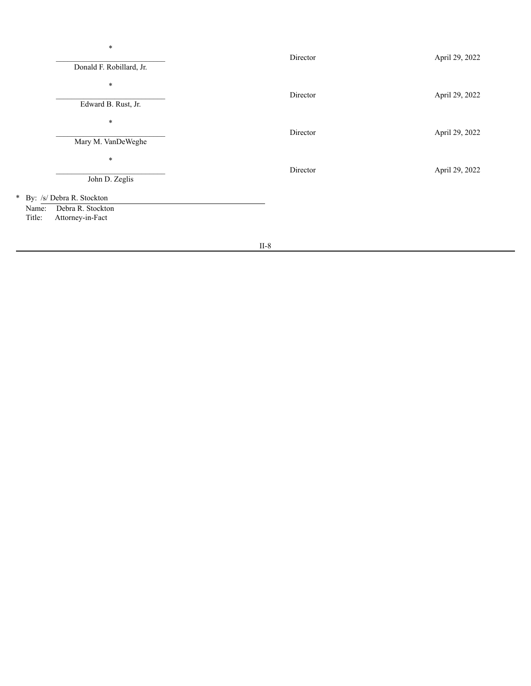| $\ast$<br>Donald F. Robillard, Jr.                                                      | Director | April 29, 2022 |  |  |  |
|-----------------------------------------------------------------------------------------|----------|----------------|--|--|--|
| $\ast$<br>Edward B. Rust, Jr.                                                           | Director | April 29, 2022 |  |  |  |
| $\ast$<br>Mary M. VanDeWeghe                                                            | Director | April 29, 2022 |  |  |  |
| $\ast$<br>John D. Zeglis                                                                | Director | April 29, 2022 |  |  |  |
| * By: /s/ Debra R. Stockton<br>Debra R. Stockton<br>Name:<br>Attorney-in-Fact<br>Title: |          |                |  |  |  |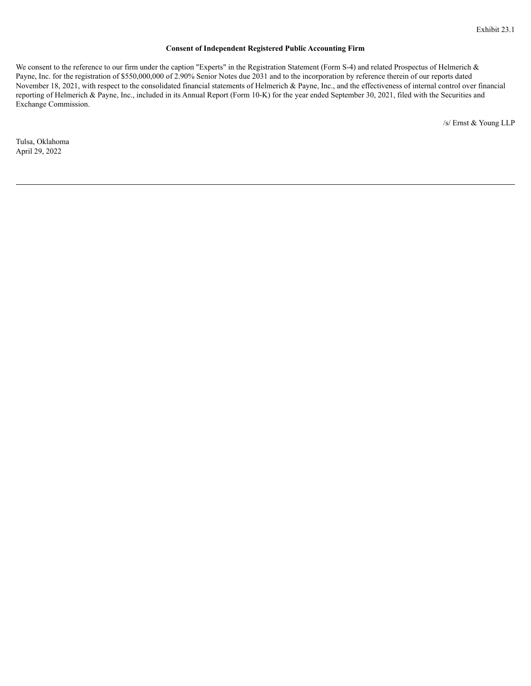#### **Consent of Independent Registered Public Accounting Firm**

<span id="page-11-0"></span>We consent to the reference to our firm under the caption "Experts" in the Registration Statement (Form S-4) and related Prospectus of Helmerich & Payne, Inc. for the registration of \$550,000,000 of 2.90% Senior Notes due 2031 and to the incorporation by reference therein of our reports dated November 18, 2021, with respect to the consolidated financial statements of Helmerich & Payne, Inc., and the effectiveness of internal control over financial reporting of Helmerich & Payne, Inc., included in its Annual Report (Form 10-K) for the year ended September 30, 2021, filed with the Securities and Exchange Commission.

/s/ Ernst & Young LLP

Tulsa, Oklahoma April 29, 2022